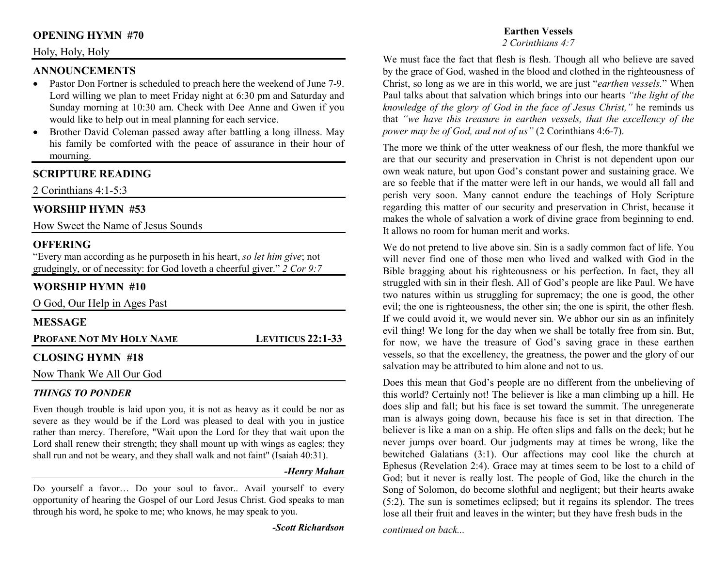## **OPENING HYMN #70**

#### Holy, Holy, Holy

#### **ANNOUNCEMENTS**

- Pastor Don Fortner is scheduled to preach here the weekend of June 7-9. •Lord willing we plan to meet Friday night at 6:30 pm and Saturday and Sunday morning at 10:30 am. Check with Dee Anne and Gwen if you would like to help out in meal planning for each service.
- Brother David Coleman passed away after battling a long illness. May  $\bullet$ his family be comforted with the peace of assurance in their hour of mourning.

## **SCRIPTURE READING**

2 Corinthians 4:1-5:3

#### **WORSHIP HYMN #53**

How Sweet the Name of Jesus Sounds

#### **OFFERING**

 "Every man according as he purposeth in his heart, *so let him give*; not grudgingly, or of necessity: for God loveth a cheerful giver." *2 Cor 9:7*

### **WORSHIP HYMN #10**

O God, Our Help in Ages Past

| <b>MESSAGE</b>                  |                     |
|---------------------------------|---------------------|
| <b>PROFANE NOT MY HOLY NAME</b> | LEVITICUS $22:1-33$ |
| <b>CLOSING HYMN #18</b>         |                     |
| Now Thank We All Our God        |                     |

#### *THINGS TO PONDER*

 Even though trouble is laid upon you, it is not as heavy as it could be nor as severe as they would be if the Lord was pleased to deal with you in justice rather than mercy. Therefore, "Wait upon the Lord for they that wait upon the Lord shall renew their strength; they shall mount up with wings as eagles; they shall run and not be weary, and they shall walk and not faint" (Isaiah 40:31).

#### *-Henry Mahan*

Do yourself a favor… Do your soul to favor.. Avail yourself to every opportunity of hearing the Gospel of our Lord Jesus Christ. God speaks to man through his word, he spoke to me; who knows, he may speak to you.

*-Scott Richardson* 

## **Earthen Vessels**

*2 Corinthians 4:7*

We must face the fact that flesh is flesh. Though all who believe are saved by the grace of God, washed in the blood and clothed in the righteousness of Christ, so long as we are in this world, we are just "*earthen vessels.*" When Paul talks about that salvation which brings into our hearts *"the light of the knowledge of the glory of God in the face of Jesus Christ,"* he reminds us that *"we have this treasure in earthen vessels, that the excellency of the power may be of God, and not of us"* (2 Corinthians 4:6-7).

The more we think of the utter weakness of our flesh, the more thankful we are that our security and preservation in Christ is not dependent upon our own weak nature, but upon God's constant power and sustaining grace. We are so feeble that if the matter were left in our hands, we would all fall and perish very soon. Many cannot endure the teachings of Holy Scripture regarding this matter of our security and preservation in Christ, because it makes the whole of salvation a work of divine grace from beginning to end. It allows no room for human merit and works.

We do not pretend to live above sin. Sin is a sadly common fact of life. You will never find one of those men who lived and walked with God in the Bible bragging about his righteousness or his perfection. In fact, they all struggled with sin in their flesh. All of God's people are like Paul. We have two natures within us struggling for supremacy; the one is good, the other evil; the one is righteousness, the other sin; the one is spirit, the other flesh. If we could avoid it, we would never sin. We abhor our sin as an infinitely evil thing! We long for the day when we shall be totally free from sin. But, for now, we have the treasure of God's saving grace in these earthen vessels, so that the excellency, the greatness, the power and the glory of our salvation may be attributed to him alone and not to us.

Does this mean that God's people are no different from the unbelieving of this world? Certainly not! The believer is like a man climbing up a hill. He does slip and fall; but his face is set toward the summit. The unregenerate man is always going down, because his face is set in that direction. The believer is like a man on a ship. He often slips and falls on the deck; but he never jumps over board. Our judgments may at times be wrong, like the bewitched Galatians (3:1). Our affections may cool like the church at Ephesus (Revelation 2:4). Grace may at times seem to be lost to a child of God; but it never is really lost. The people of God, like the church in the Song of Solomon, do become slothful and negligent; but their hearts awake (5:2). The sun is sometimes eclipsed; but it regains its splendor. The trees lose all their fruit and leaves in the winter; but they have fresh buds in the

*continued on back...*